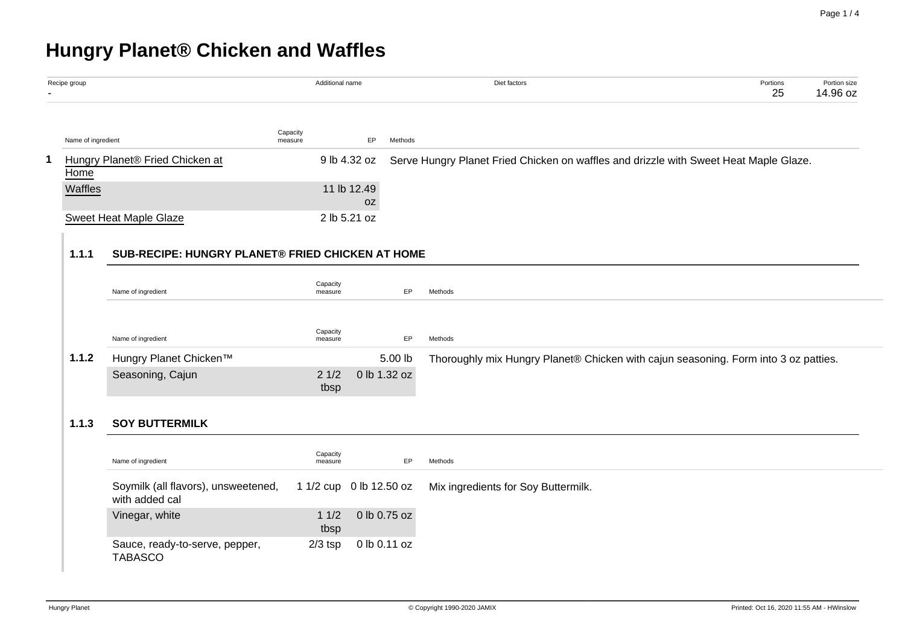# **Hungry Planet® Chicken and Waffles**

| Recipe group       |                                                         | Additional name     |                         | Diet factors                                                                          | Portions<br>25                            | Portion size<br>14.96 oz |
|--------------------|---------------------------------------------------------|---------------------|-------------------------|---------------------------------------------------------------------------------------|-------------------------------------------|--------------------------|
| Name of ingredient |                                                         | Capacity<br>measure | EP<br>Methods           |                                                                                       |                                           |                          |
| Home               | Hungry Planet® Fried Chicken at                         |                     | 9 lb 4.32 oz            | Serve Hungry Planet Fried Chicken on waffles and drizzle with Sweet Heat Maple Glaze. |                                           |                          |
| Waffles            |                                                         |                     | 11 lb 12.49<br>0Z       |                                                                                       |                                           |                          |
|                    | <b>Sweet Heat Maple Glaze</b>                           |                     | 2 lb 5.21 oz            |                                                                                       |                                           |                          |
| 1.1.1              | <b>SUB-RECIPE: HUNGRY PLANET® FRIED CHICKEN AT HOME</b> |                     |                         |                                                                                       |                                           |                          |
|                    | Name of ingredient                                      | Capacity<br>measure | EP                      | Methods                                                                               |                                           |                          |
|                    | Name of ingredient                                      | Capacity<br>measure | EP                      | Methods                                                                               |                                           |                          |
| 1.1.2              | Hungry Planet Chicken™                                  |                     | 5.00 lb                 | Thoroughly mix Hungry Planet® Chicken with cajun seasoning. Form into 3 oz patties.   |                                           |                          |
|                    | Seasoning, Cajun                                        | 21/2<br>tbsp        | 0 lb 1.32 oz            |                                                                                       |                                           |                          |
| 1.1.3              | <b>SOY BUTTERMILK</b>                                   |                     |                         |                                                                                       |                                           |                          |
|                    | Name of ingredient                                      | Capacity<br>measure | EP                      | Methods                                                                               |                                           |                          |
|                    | Soymilk (all flavors), unsweetened,<br>with added cal   |                     | 1 1/2 cup 0 lb 12.50 oz | Mix ingredients for Soy Buttermilk.                                                   |                                           |                          |
|                    | Vinegar, white                                          | 11/2<br>tbsp        | 0 lb 0.75 oz            |                                                                                       |                                           |                          |
|                    | Sauce, ready-to-serve, pepper,<br><b>TABASCO</b>        | $2/3$ tsp           | 0 lb 0.11 oz            |                                                                                       |                                           |                          |
| Hungry Planet      |                                                         |                     |                         | C Copyright 1990-2020 JAMIX                                                           | Printed: Oct 16, 2020 11:55 AM - HWinslow |                          |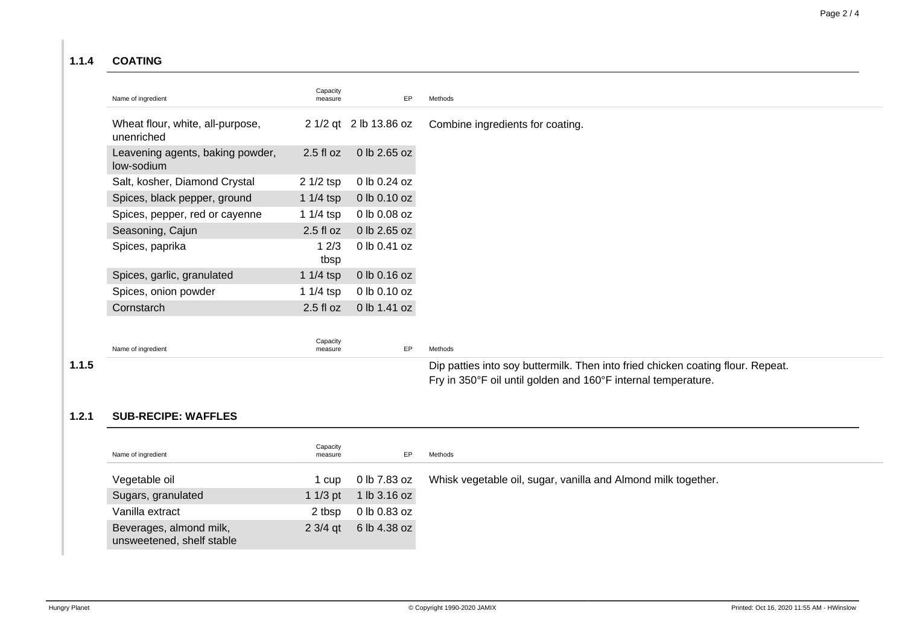#### **1.1.4 COATING**

| Name of ingredient                             | Capacity<br>measure | EP                     | Methods                          |
|------------------------------------------------|---------------------|------------------------|----------------------------------|
| Wheat flour, white, all-purpose,<br>unenriched |                     | 2 1/2 qt 2 lb 13.86 oz | Combine ingredients for coating. |
| Leavening agents, baking powder,<br>low-sodium | $2.5$ fl oz         | 0 lb 2.65 oz           |                                  |
| Salt, kosher, Diamond Crystal                  | $21/2$ tsp          | 0 lb 0.24 oz           |                                  |
| Spices, black pepper, ground                   | 1 $1/4$ tsp         | $0$ lb $0.10$ oz       |                                  |
| Spices, pepper, red or cayenne                 | 1 $1/4$ tsp         | 0 lb 0.08 oz           |                                  |
| Seasoning, Cajun                               | $2.5$ fl oz         | 0 lb 2.65 oz           |                                  |
| Spices, paprika                                | 12/3<br>tbsp        | 0 lb 0.41 oz           |                                  |
| Spices, garlic, granulated                     | 1 $1/4$ tsp         | 0 lb 0.16 oz           |                                  |
| Spices, onion powder                           | 1 $1/4$ tsp         | 0 lb 0.10 oz           |                                  |
| Cornstarch                                     | $2.5$ fl oz         | 0 lb 1.41 oz           |                                  |
|                                                |                     |                        |                                  |
| Name of ingredient                             | Capacity<br>measure | EP                     | Methods                          |

**1.1.5** Dip patties into soy buttermilk. Then into fried chicken coating flour. Repeat. Fry in 350°F oil until golden and 160°F internal temperature.

#### **1.2.1 SUB-RECIPE: WAFFLES**

| Name of ingredient                                   | Capacity<br>measure | EP           | Methods                                                       |
|------------------------------------------------------|---------------------|--------------|---------------------------------------------------------------|
| Vegetable oil                                        | cup                 | 0 lb 7.83 oz | Whisk vegetable oil, sugar, vanilla and Almond milk together. |
| Sugars, granulated                                   | 1 1/3 pt            | 1 lb 3.16 oz |                                                               |
| Vanilla extract                                      | 2 tbsp              | 0 lb 0.83 oz |                                                               |
| Beverages, almond milk,<br>unsweetened, shelf stable | $2 \frac{3}{4}$ at  | 6 lb 4.38 oz |                                                               |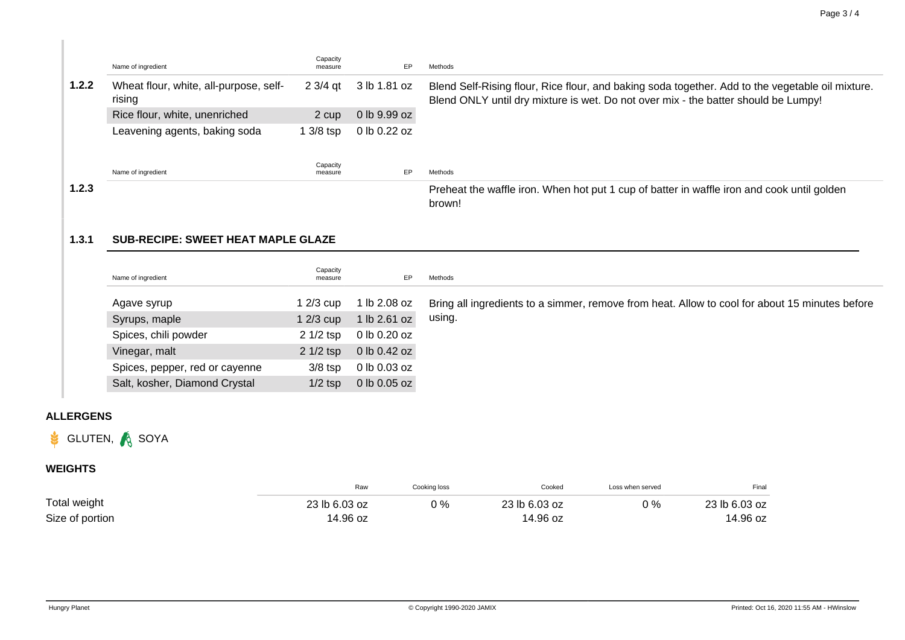|       | Name of ingredient                               | Capacity<br>measure | EP               | Methods                                                                                                                                                                                |
|-------|--------------------------------------------------|---------------------|------------------|----------------------------------------------------------------------------------------------------------------------------------------------------------------------------------------|
| 1.2.2 | Wheat flour, white, all-purpose, self-<br>rising | 2 3/4 gt            | 3 lb 1.81 oz     | Blend Self-Rising flour, Rice flour, and baking soda together. Add to the vegetable oil mixture.<br>Blend ONLY until dry mixture is wet. Do not over mix - the batter should be Lumpy! |
|       | Rice flour, white, unenriched                    | 2 cup               | $0$ lb $9.99$ oz |                                                                                                                                                                                        |
|       | Leavening agents, baking soda                    | 1 3/8 tsp           | 0 lb 0.22 oz     |                                                                                                                                                                                        |
|       |                                                  |                     |                  |                                                                                                                                                                                        |
|       | Name of ingredient                               | Capacity<br>measure | EP               | Methods                                                                                                                                                                                |
| 1.2.3 |                                                  |                     |                  | Preheat the waffle iron. When hot put 1 cup of batter in waffle iron and cook until golden<br>brown!                                                                                   |

### **1.3.1 SUB-RECIPE: SWEET HEAT MAPLE GLAZE**

| Name of ingredient             | Capacity<br>measure | EP               | Methods                                                                                        |
|--------------------------------|---------------------|------------------|------------------------------------------------------------------------------------------------|
| Agave syrup                    | 1 2/3 cup           | l lb 2.08 oz     | Bring all ingredients to a simmer, remove from heat. Allow to cool for about 15 minutes before |
| Syrups, maple                  | 1 2/3 cup           | b 2.61 oz        | using.                                                                                         |
| Spices, chili powder           | $21/2$ tsp          | 0 lb 0.20 oz     |                                                                                                |
| Vinegar, malt                  | $21/2$ tsp          | 0 lb 0.42 oz     |                                                                                                |
| Spices, pepper, red or cayenne | $3/8$ tsp           | 0 lb 0.03 oz     |                                                                                                |
| Salt, kosher, Diamond Crystal  | $1/2$ tsp           | $0$ lb $0.05$ oz |                                                                                                |

#### **ALLERGENS**

## GLUTEN, A SOYA

### **WEIGHTS**

|                 | Raw           | Cooking loss | Cooked        | Loss when served | Final         |
|-----------------|---------------|--------------|---------------|------------------|---------------|
| Total weight    | 23 lb 6.03 oz | 0 %          | 23 lb 6.03 oz | $0\%$            | 23 lb 6.03 oz |
| Size of portion | 14.96 oz      |              | 14.96 oz      |                  | 14.96 oz      |